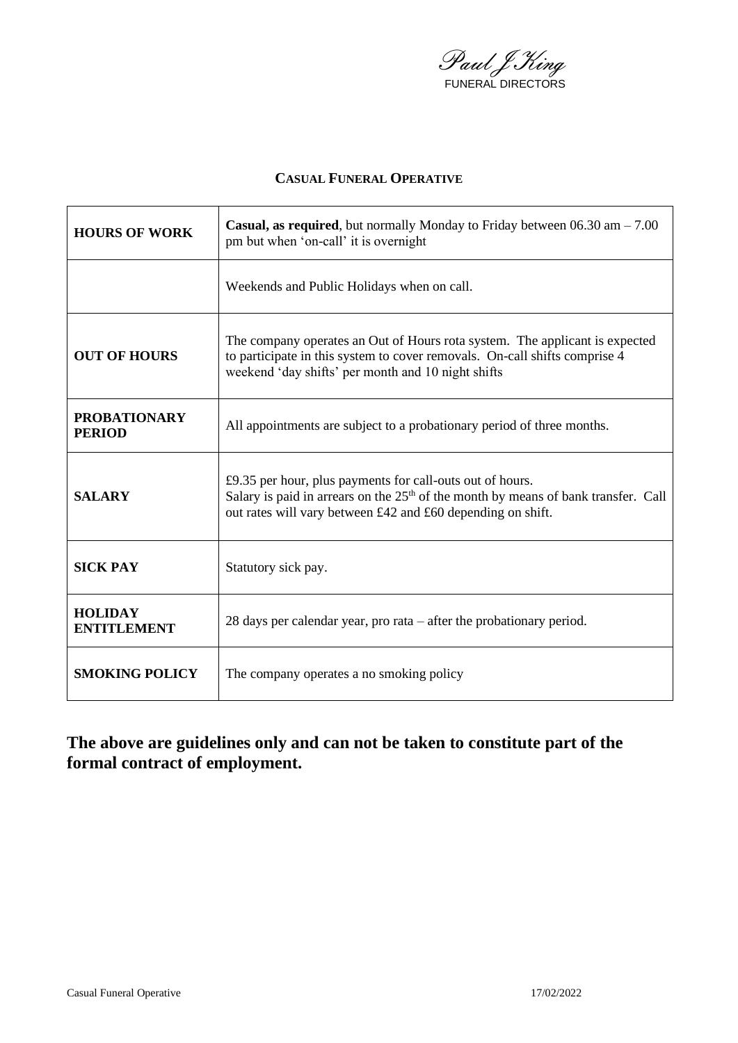Paul J King FUNERAL DIRECTORS

#### **CASUAL FUNERAL OPERATIVE**

| <b>HOURS OF WORK</b>                 | <b>Casual, as required</b> , but normally Monday to Friday between $06.30 \text{ am} - 7.00$<br>pm but when 'on-call' it is overnight                                                                            |  |  |
|--------------------------------------|------------------------------------------------------------------------------------------------------------------------------------------------------------------------------------------------------------------|--|--|
|                                      | Weekends and Public Holidays when on call.                                                                                                                                                                       |  |  |
| <b>OUT OF HOURS</b>                  | The company operates an Out of Hours rota system. The applicant is expected<br>to participate in this system to cover removals. On-call shifts comprise 4<br>weekend 'day shifts' per month and 10 night shifts  |  |  |
| <b>PROBATIONARY</b><br><b>PERIOD</b> | All appointments are subject to a probationary period of three months.                                                                                                                                           |  |  |
| <b>SALARY</b>                        | £9.35 per hour, plus payments for call-outs out of hours.<br>Salary is paid in arrears on the $25th$ of the month by means of bank transfer. Call<br>out rates will vary between £42 and £60 depending on shift. |  |  |
| <b>SICK PAY</b>                      | Statutory sick pay.                                                                                                                                                                                              |  |  |
| <b>HOLIDAY</b><br>ENTITLEMENT        | 28 days per calendar year, pro rata $-$ after the probationary period.                                                                                                                                           |  |  |
| <b>SMOKING POLICY</b>                | The company operates a no smoking policy                                                                                                                                                                         |  |  |

# **The above are guidelines only and can not be taken to constitute part of the formal contract of employment.**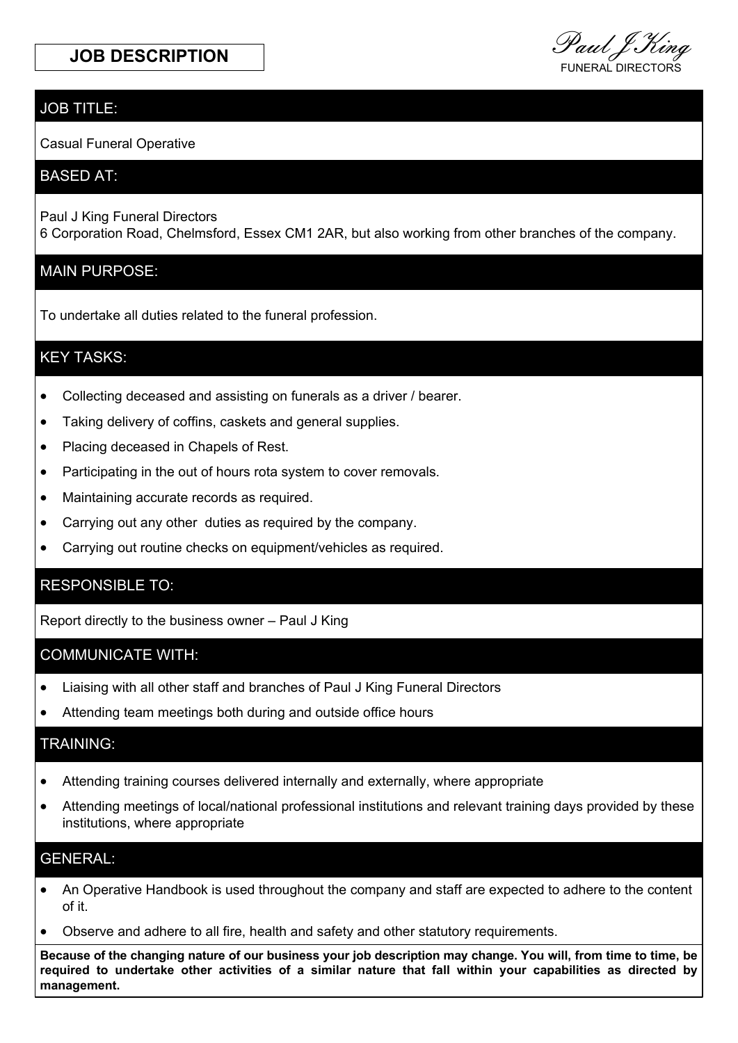#### JOB TITLE:

Casual Funeral Operative

#### BASED AT:

Paul J King Funeral Directors 6 Corporation Road, Chelmsford, Essex CM1 2AR, but also working from other branches of the company.

#### MAIN PURPOSE:

To undertake all duties related to the funeral profession.

#### KEY TASKS:

- Collecting deceased and assisting on funerals as a driver / bearer.
- Taking delivery of coffins, caskets and general supplies.
- Placing deceased in Chapels of Rest.
- Participating in the out of hours rota system to cover removals.
- Maintaining accurate records as required.
- Carrying out any other duties as required by the company.
- Carrying out routine checks on equipment/vehicles as required.

### RESPONSIBLE TO:

Report directly to the business owner – Paul J King

#### COMMUNICATE WITH:

- Liaising with all other staff and branches of Paul J King Funeral Directors
- Attending team meetings both during and outside office hours

#### TRAINING:

- Attending training courses delivered internally and externally, where appropriate
- Attending meetings of local/national professional institutions and relevant training days provided by these institutions, where appropriate

#### GENERAL:

- An Operative Handbook is used throughout the company and staff are expected to adhere to the content of it.
- Observe and adhere to all fire, health and safety and other statutory requirements.

**Because of the changing nature of our business your job description may change. You will, from time to time, be required to undertake other activities of a similar nature that fall within your capabilities as directed by management.**

**JOB DESCRIPTION**<br>FUNERAL DIRECTORS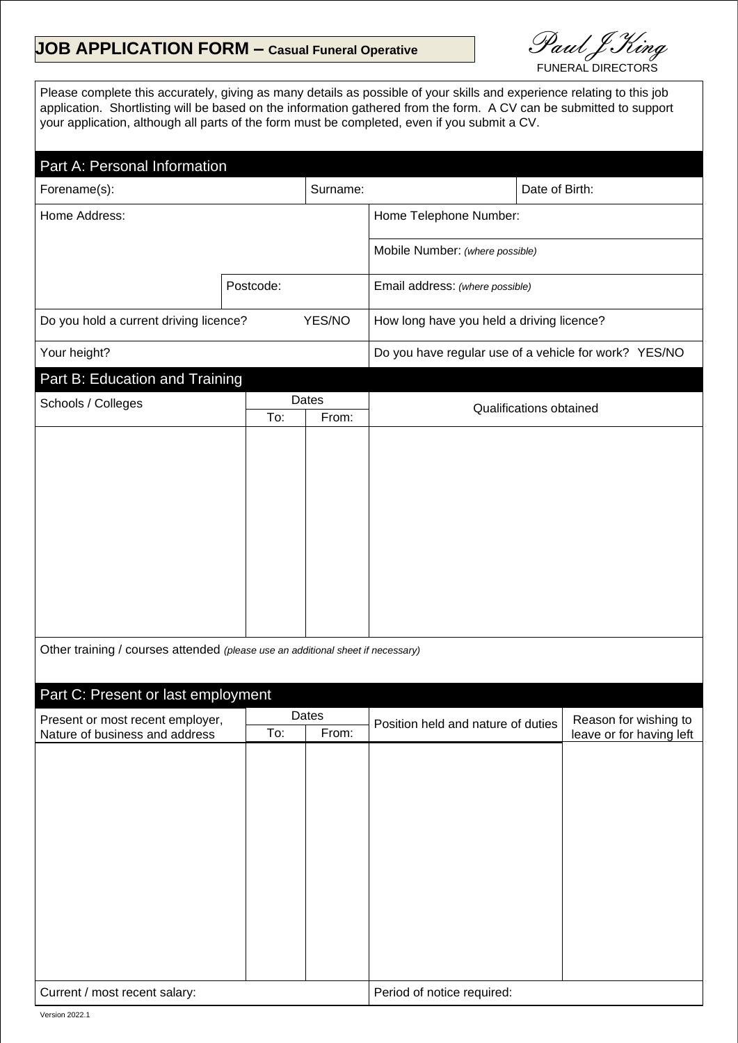## **JOB APPLICATION FORM – Casual Funeral Operative**

Paul J King

Please complete this accurately, giving as many details as possible of your skills and experience relating to this job application. Shortlisting will be based on the information gathered from the form. A CV can be submitted to support your application, although all parts of the form must be completed, even if you submit a CV.

#### Part A: Personal Information

| Forename(s):                                     |           | Surname:                                              |                                 | Date of Birth: |
|--------------------------------------------------|-----------|-------------------------------------------------------|---------------------------------|----------------|
| Home Address:                                    |           |                                                       | Home Telephone Number:          |                |
|                                                  |           |                                                       | Mobile Number: (where possible) |                |
|                                                  | Postcode: |                                                       | Email address: (where possible) |                |
| Do you hold a current driving licence?<br>YES/NO |           | How long have you held a driving licence?             |                                 |                |
| Your height?                                     |           | Do you have regular use of a vehicle for work? YES/NO |                                 |                |
| Part B: Education and Training                   |           |                                                       |                                 |                |

| Schools / Colleges | Dates |       | Qualifications obtained |
|--------------------|-------|-------|-------------------------|
|                    | To:   | From: |                         |
|                    |       |       |                         |
|                    |       |       |                         |
|                    |       |       |                         |
|                    |       |       |                         |
|                    |       |       |                         |
|                    |       |       |                         |
|                    |       |       |                         |
|                    |       |       |                         |
|                    |       |       |                         |
|                    |       |       |                         |
|                    |       |       |                         |
|                    |       |       |                         |

Other training / courses attended *(please use an additional sheet if necessary)*

| Part C: Present or last employment |       |       |                                    |                          |
|------------------------------------|-------|-------|------------------------------------|--------------------------|
| Present or most recent employer,   | Dates |       | Position held and nature of duties | Reason for wishing to    |
| Nature of business and address     | To:   | From: |                                    | leave or for having left |
|                                    |       |       |                                    |                          |
|                                    |       |       |                                    |                          |
|                                    |       |       |                                    |                          |
|                                    |       |       |                                    |                          |
|                                    |       |       |                                    |                          |
|                                    |       |       |                                    |                          |
|                                    |       |       |                                    |                          |
|                                    |       |       |                                    |                          |
|                                    |       |       |                                    |                          |
|                                    |       |       |                                    |                          |
|                                    |       |       |                                    |                          |
|                                    |       |       |                                    |                          |
|                                    |       |       |                                    |                          |
| Current / most recent salary:      |       |       | Period of notice required:         |                          |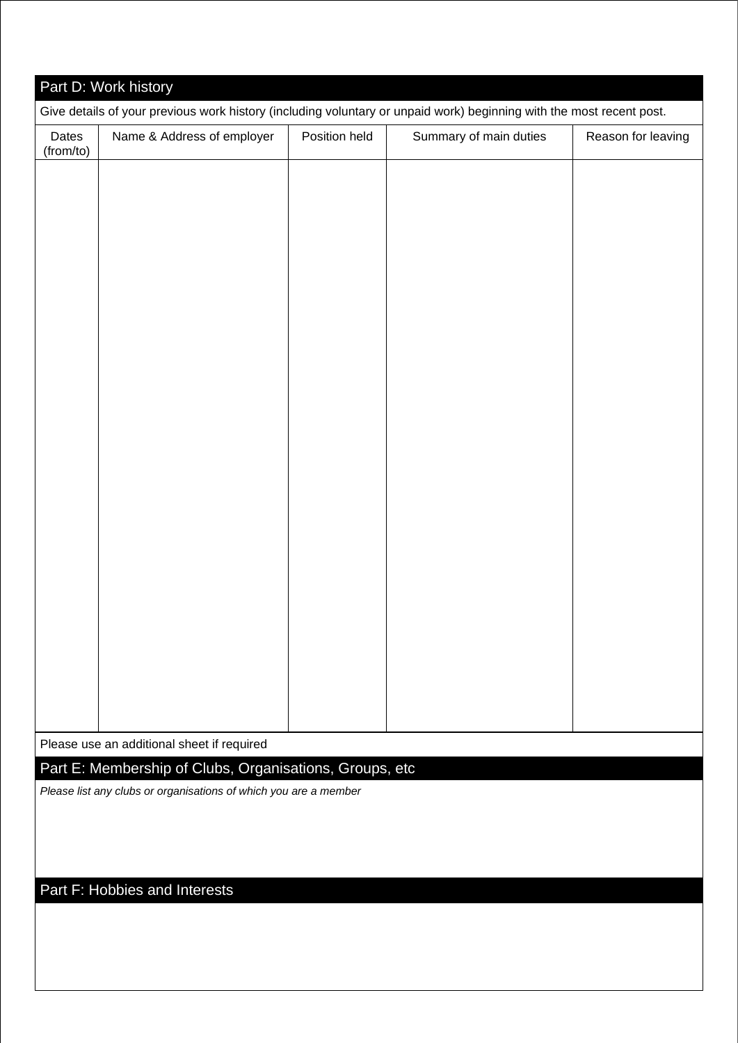|                    | Part D: Work history                                                                                                 |               |                        |                    |
|--------------------|----------------------------------------------------------------------------------------------------------------------|---------------|------------------------|--------------------|
|                    | Give details of your previous work history (including voluntary or unpaid work) beginning with the most recent post. |               |                        |                    |
| Dates<br>(from/to) | Name & Address of employer                                                                                           | Position held | Summary of main duties | Reason for leaving |
|                    |                                                                                                                      |               |                        |                    |
|                    |                                                                                                                      |               |                        |                    |
|                    |                                                                                                                      |               |                        |                    |
|                    |                                                                                                                      |               |                        |                    |
|                    |                                                                                                                      |               |                        |                    |
|                    |                                                                                                                      |               |                        |                    |
|                    |                                                                                                                      |               |                        |                    |
|                    |                                                                                                                      |               |                        |                    |
|                    |                                                                                                                      |               |                        |                    |
|                    |                                                                                                                      |               |                        |                    |
|                    |                                                                                                                      |               |                        |                    |
|                    |                                                                                                                      |               |                        |                    |
|                    |                                                                                                                      |               |                        |                    |
|                    |                                                                                                                      |               |                        |                    |
|                    |                                                                                                                      |               |                        |                    |
|                    |                                                                                                                      |               |                        |                    |
|                    |                                                                                                                      |               |                        |                    |
|                    |                                                                                                                      |               |                        |                    |
|                    |                                                                                                                      |               |                        |                    |
|                    |                                                                                                                      |               |                        |                    |
|                    | Please use an additional sheet if required                                                                           |               |                        |                    |
|                    | Part E: Membership of Clubs, Organisations, Groups, etc                                                              |               |                        |                    |
|                    | Please list any clubs or organisations of which you are a member                                                     |               |                        |                    |
|                    |                                                                                                                      |               |                        |                    |
|                    |                                                                                                                      |               |                        |                    |
|                    | Part F: Hobbies and Interests                                                                                        |               |                        |                    |
|                    |                                                                                                                      |               |                        |                    |
|                    |                                                                                                                      |               |                        |                    |
|                    |                                                                                                                      |               |                        |                    |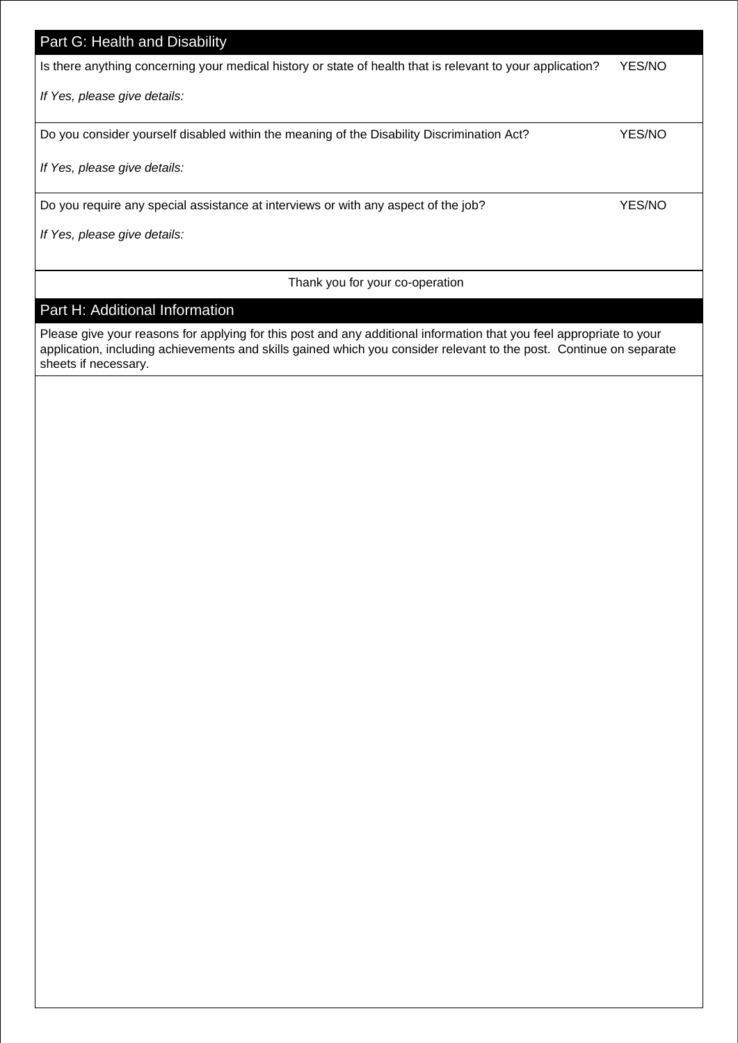# Part G: Health and Disability Is there anything concerning your medical history or state of health that is relevant to your application? YES/NO *If Yes, please give details:* Do you consider yourself disabled within the meaning of the Disability Discrimination Act? YES/NO *If Yes, please give details:* Do you require any special assistance at interviews or with any aspect of the job? YES/NO *If Yes, please give details:*

Thank you for your co-operation

### Part H: Additional Information

Please give your reasons for applying for this post and any additional information that you feel appropriate to your application, including achievements and skills gained which you consider relevant to the post. Continue on separate sheets if necessary.